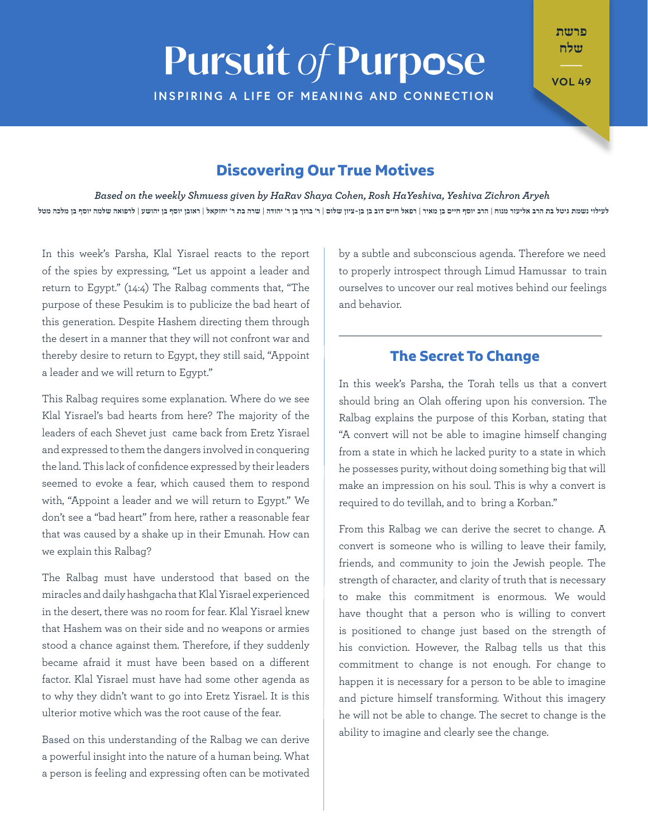# **Pursuit of Purpose INSPIRING A LIFE OF MEANING AND CONNECTION**

פרשת שלח

**49 VOL**

### **Discovering Our True Motives**

Based on the weekly Shmuess given by HaRav Shaya Cohen, Rosh HaYeshiva, Yeshiva Zichron Aryeh לעילוי נשמת גיטל בת הרב אליעזר מנוח | הרב יוסף חיים בן מאיר | רפאל חיים דוב בן בן בן מאיר דוב בן ר' יהודה | שרה בת ר' יחזקאל | ראובן יוסף בן יהושע | לרפואה שלמה יוסף בן מלכה מטל

In this week's Parsha, Klal Yisrael reacts to the report of the spies by expressing, "Let us appoint a leader and return to Egypt."  $(14:4)$  The Ralbag comments that, "The purpose of these Pesukim is to publicize the bad heart of this generation. Despite Hashem directing them through the desert in a manner that they will not confront war and thereby desire to return to Egypt, they still said, "Appoint a leader and we will return to Egypt."

This Ralbag requires some explanation. Where do we see Klal Yisrael's bad hearts from here? The majority of the leaders of each Shevet just came back from Eretz Yisrael and expressed to them the dangers involved in conquering the land. This lack of confidence expressed by their leaders seemed to evoke a fear, which caused them to respond with, "Appoint a leader and we will return to Eqypt." We don't see a "bad heart" from here, rather a reasonable fear that was caused by a shake up in their Emunah. How can we explain this Ralbag?

The Ralbag must have understood that based on the miracles and daily hashqacha that Klal Yisrael experienced in the desert, there was no room for fear. Klal Yisrael knew that Hashem was on their side and no weapons or armies stood a chance against them. Therefore, if they suddenly became afraid it must have been based on a different factor. Klal Yisrael must have had some other agenda as to why they didn't want to go into Eretz Yisrael. It is this ulterior motive which was the root cause of the fear.

Based on this understanding of the Ralbag we can derive a powerful insight into the nature of a human being. What a person is feeling and expressing often can be motivated

by a subtle and subconscious agenda. Therefore we need to properly introspect through Limud Hamussar to train ourselves to uncover our real motives behind our feelings and behavior.

#### **The Secret To Change**

 $\_$  , and the set of the set of the set of the set of the set of the set of the set of the set of the set of the set of the set of the set of the set of the set of the set of the set of the set of the set of the set of th

In this week's Parsha, the Torah tells us that a convert should bring an Olah offering upon his conversion. The Ralbag explains the purpose of this Korban, stating that "A convert will not be able to imagine himself changing from a state in which he lacked purity to a state in which he possesses purity, without doing something big that will make an impression on his soul. This is why a convert is required to do tevillah, and to bring a Korban."

From this Ralbag we can derive the secret to change. A convert is someone who is willing to leave their family, friends, and community to join the Jewish people. The strength of character, and clarity of truth that is necessary to make this commitment is enormous. We would have thought that a person who is willing to convert is positioned to change just based on the strength of his conviction. However, the Ralbag tells us that this commitment to change is not enough. For change to happen it is necessary for a person to be able to imagine and picture himself transforming. Without this imagery he will not be able to change. The secret to change is the ability to imagine and clearly see the change.